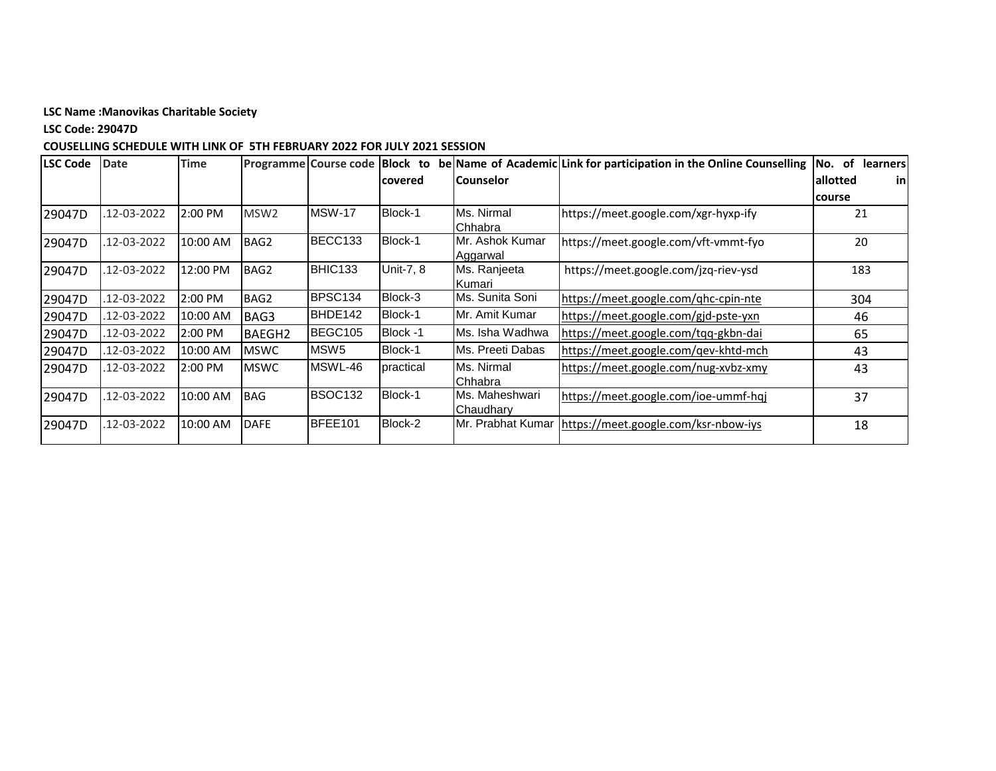**LSC Code: 29047D**

| <b>LSC Code</b> | <b>Date</b> | <b>Time</b> |                    |                     |           |                         | Programme Course code Block to be Name of Academic Link for participation in the Online Counselling | of learners<br>No. |
|-----------------|-------------|-------------|--------------------|---------------------|-----------|-------------------------|-----------------------------------------------------------------------------------------------------|--------------------|
|                 |             |             |                    |                     | lcovered  | lCounselor              |                                                                                                     | lallotted<br>in    |
|                 |             |             |                    |                     |           |                         |                                                                                                     | course             |
| 29047D          | .12-03-2022 | 2:00 PM     | MSW <sub>2</sub>   | <b>MSW-17</b>       | Block-1   | Ms. Nirmal              | https://meet.google.com/xgr-hyxp-ify                                                                | 21                 |
|                 |             |             |                    |                     |           | <b>Chhabra</b>          |                                                                                                     |                    |
| 29047D          | 12-03-2022  | 10:00 AM    | BAG2               | BECC133             | Block-1   | Mr. Ashok Kumar         | https://meet.google.com/vft-vmmt-fyo                                                                | 20                 |
|                 |             |             |                    |                     |           | Aggarwal                |                                                                                                     |                    |
| 29047D          | .12-03-2022 | 12:00 PM    | BAG2               | BHIC133             | Unit-7, 8 | Ms. Ranjeeta            | https://meet.google.com/jzq-riev-ysd                                                                | 183                |
|                 |             |             |                    |                     |           | <b>I</b> Kumari         |                                                                                                     |                    |
| 29047D          | 12-03-2022  | 2:00 PM     | BAG2               | BPSC134             | Block-3   | <b>IMs. Sunita Soni</b> | https://meet.google.com/qhc-cpin-nte                                                                | 304                |
| 29047D          | .12-03-2022 | 10:00 AM    | BAG3               | BHDE142             | Block-1   | IMr. Amit Kumar         | https://meet.google.com/gjd-pste-yxn                                                                | 46                 |
| 29047D          | 12-03-2022  | 2:00 PM     | BAEGH <sub>2</sub> | BEGC105             | Block -1  | Ms. Isha Wadhwa         | https://meet.google.com/tqq-gkbn-dai                                                                | 65                 |
| 29047D          | 12-03-2022  | 10:00 AM    | <b>MSWC</b>        | MSW <sub>5</sub>    | Block-1   | Ms. Preeti Dabas        | https://meet.google.com/gev-khtd-mch                                                                | 43                 |
| 29047D          | 12-03-2022  | 2:00 PM     | <b>MSWC</b>        | MSWL-46             | practical | Ms. Nirmal              | https://meet.google.com/nug-xvbz-xmy                                                                | 43                 |
|                 |             |             |                    |                     |           | <b>Chhabra</b>          |                                                                                                     |                    |
| 29047D          | .12-03-2022 | 10:00 AM    | <b>BAG</b>         | BSOC <sub>132</sub> | Block-1   | Ms. Maheshwari          | https://meet.google.com/ioe-ummf-hqi                                                                | 37                 |
|                 |             |             |                    |                     |           | <b>I</b> Chaudharv      |                                                                                                     |                    |
| 29047D          | 12-03-2022  | 10:00 AM    | <b>DAFE</b>        | BFEE101             | Block-2   | Mr. Prabhat Kumar       | https://meet.google.com/ksr-nbow-iys                                                                | 18                 |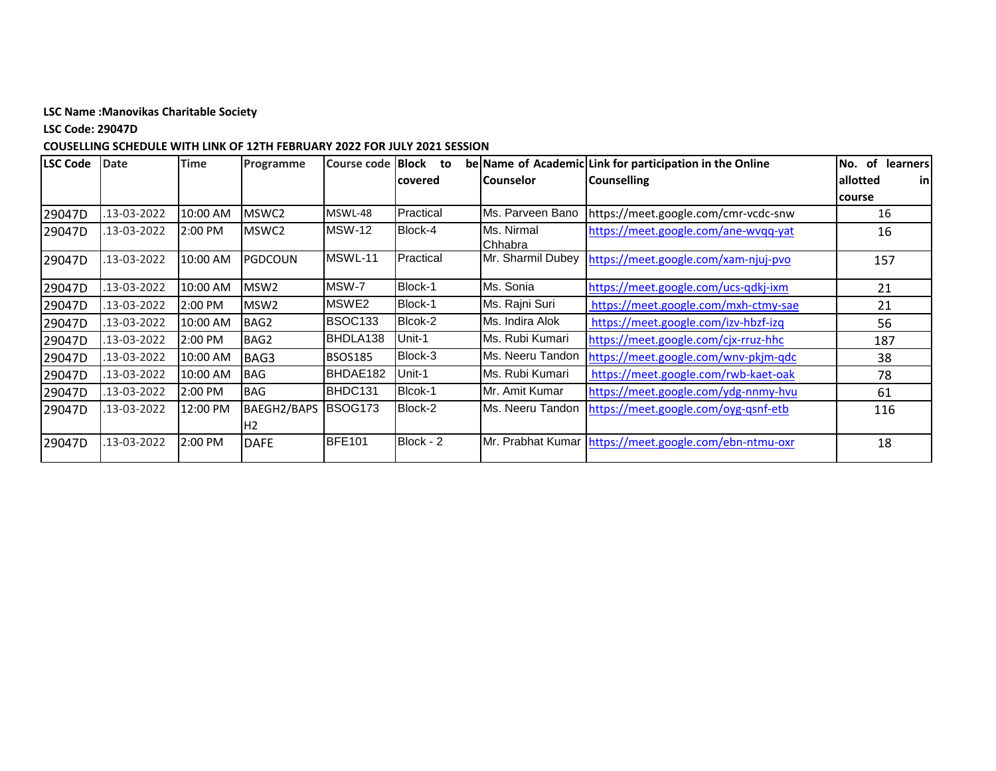**LSC Code: 29047D**

| LSC Code | <b>Date</b> | <b>Time</b> | Programme          | Course code   Block | to        |                   | be Name of Academic Link for participation in the Online | of<br>No.<br><b>learners</b> |
|----------|-------------|-------------|--------------------|---------------------|-----------|-------------------|----------------------------------------------------------|------------------------------|
|          |             |             |                    |                     | covered   | <b>Counselor</b>  | <b>Counselling</b>                                       | allotted<br>in               |
|          |             |             |                    |                     |           |                   |                                                          | course                       |
| 29047D   | 13-03-2022  | 10:00 AM    | MSWC2              | MSWL-48             | Practical | Ms. Parveen Bano  | https://meet.google.com/cmr-vcdc-snw                     | 16                           |
| 29047D   | 13-03-2022  | 2:00 PM     | MSWC2              | <b>MSW-12</b>       | Block-4   | Ms. Nirmal        | https://meet.google.com/ane-wvqq-yat                     | 16                           |
|          |             |             |                    |                     |           | Chhabra           |                                                          |                              |
| 29047D   | 13-03-2022  | 10:00 AM    | <b>PGDCOUN</b>     | MSWL-11             | Practical | Mr. Sharmil Dubey | https://meet.google.com/xam-njuj-pvo                     | 157                          |
| 29047D   | 13-03-2022  | 10:00 AM    | MSW <sub>2</sub>   | MSW-7               | Block-1   | Ms. Sonia         | https://meet.google.com/ucs-qdkj-ixm                     | 21                           |
| 29047D   | 13-03-2022  | 2:00 PM     | MSW <sub>2</sub>   | MSWE <sub>2</sub>   | Block-1   | Ms. Rajni Suri    | https://meet.google.com/mxh-ctmy-sae                     | 21                           |
| 29047D   | 13-03-2022  | 10:00 AM    | BAG2               | <b>BSOC133</b>      | Blcok-2   | Ms. Indira Alok   | https://meet.google.com/izv-hbzf-izq                     | 56                           |
| 29047D   | 13-03-2022  | 2:00 PM     | BAG2               | BHDLA138            | Unit-1    | Ms. Rubi Kumari   | https://meet.google.com/cjx-rruz-hhc                     | 187                          |
| 29047D   | 13-03-2022  | 10:00 AM    | BAG3               | <b>BSOS185</b>      | Block-3   | Ms. Neeru Tandon  | https://meet.google.com/wnv-pkjm-qdc                     | 38                           |
| 29047D   | 13-03-2022  | 10:00 AM    | <b>BAG</b>         | BHDAE182            | Unit-1    | Ms. Rubi Kumari   | https://meet.google.com/rwb-kaet-oak                     | 78                           |
| 29047D   | 13-03-2022  | 2:00 PM     | <b>BAG</b>         | BHDC131             | Blcok-1   | Mr. Amit Kumar    | https://meet.google.com/ydg-nnmy-hvu                     | 61                           |
| 29047D   | 13-03-2022  | 12:00 PM    | <b>BAEGH2/BAPS</b> | BSOG <sub>173</sub> | Block-2   | Ms. Neeru Tandon  | https://meet.google.com/oyg-gsnf-etb                     | 116                          |
|          |             |             | H <sub>2</sub>     |                     |           |                   |                                                          |                              |
| 29047D   | 13-03-2022  | 2:00 PM     | <b>DAFE</b>        | <b>BFE101</b>       | Block - 2 |                   | Mr. Prabhat Kumar   https://meet.google.com/ebn-ntmu-oxr | 18                           |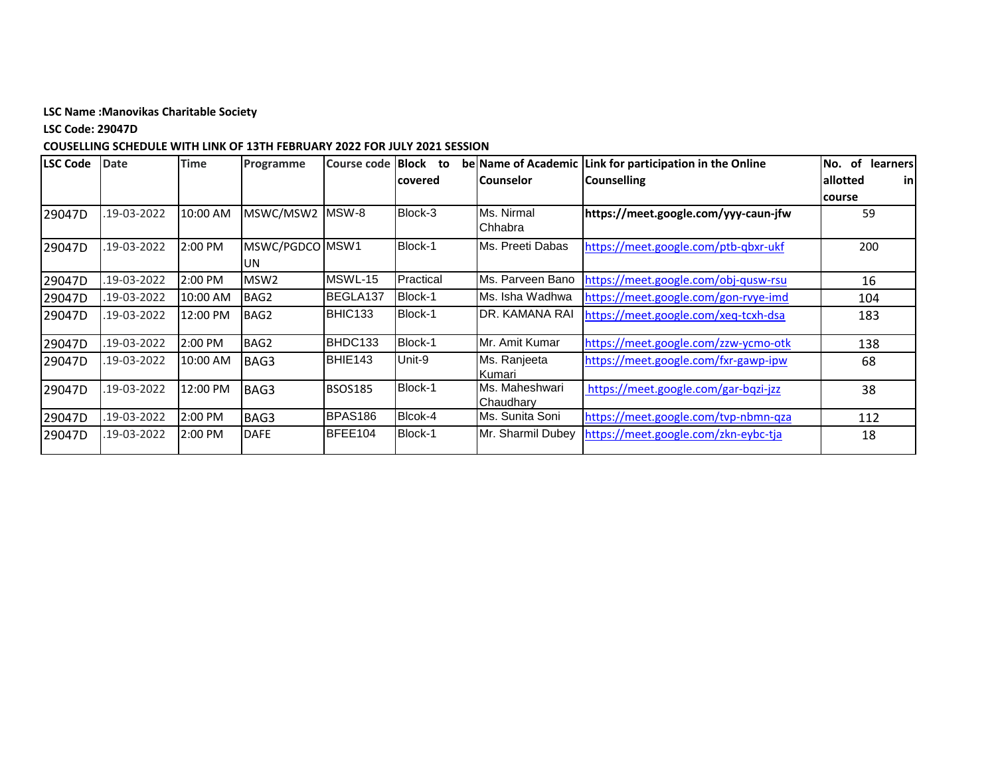**LSC Code: 29047D**

| LSC Code | <b>Date</b> | <b>Time</b> | Programme        | Course code    | <b>Block</b><br>to |                             | be Name of Academic Link for participation in the Online | of<br>learners<br>No. |
|----------|-------------|-------------|------------------|----------------|--------------------|-----------------------------|----------------------------------------------------------|-----------------------|
|          |             |             |                  |                | covered            | l Counselor                 | <b>Counselling</b>                                       | lallotted<br>inl      |
|          |             |             |                  |                |                    |                             |                                                          | course                |
| 29047D   | 19-03-2022  | 10:00 AM    | MSWC/MSW2        | MSW-8          | Block-3            | Ms. Nirmal<br>Chhabra       | https://meet.google.com/yyy-caun-jfw                     | 59                    |
| 29047D   | 19-03-2022  | 2:00 PM     | MSWC/PGDCO MSW1  |                | Block-1            | Ms. Preeti Dabas            | https://meet.google.com/ptb-qbxr-ukf                     | 200                   |
|          |             |             | UN               |                |                    |                             |                                                          |                       |
| 29047D   | 19-03-2022  | 2:00 PM     | MSW <sub>2</sub> | MSWL-15        | Practical          | Ms. Parveen Bano            | https://meet.google.com/obj-qusw-rsu                     | 16                    |
| 29047D   | 19-03-2022  | 10:00 AM    | BAG <sub>2</sub> | BEGLA137       | Block-1            | Ms. Isha Wadhwa             | https://meet.google.com/gon-rvye-imd                     | 104                   |
| 29047D   | 19-03-2022  | 12:00 PM    | BAG2             | BHIC133        | Block-1            | DR. KAMANA RAI              | https://meet.google.com/xeq-tcxh-dsa                     | 183                   |
| 29047D   | 19-03-2022  | 2:00 PM     | BAG2             | BHDC133        | Block-1            | Mr. Amit Kumar              | https://meet.google.com/zzw-ycmo-otk                     | 138                   |
| 29047D   | .19-03-2022 | 10:00 AM    | BAG3             | BHIE143        | Unit-9             | Ms. Ranjeeta<br>Kumari      | https://meet.google.com/fxr-gawp-ipw                     | 68                    |
| 29047D   | 19-03-2022  | 12:00 PM    | BAG3             | <b>BSOS185</b> | Block-1            | Ms. Maheshwari<br>Chaudhary | https://meet.google.com/gar-bqzi-jzz                     | 38                    |
| 29047D   | 19-03-2022  | 2:00 PM     | BAG3             | BPAS186        | Blcok-4            | Ms. Sunita Soni             | https://meet.google.com/tvp-nbmn-qza                     | 112                   |
| 29047D   | 19-03-2022  | 2:00 PM     | <b>DAFE</b>      | BFEE104        | Block-1            | Mr. Sharmil Dubey           | https://meet.google.com/zkn-eybc-tja                     | 18                    |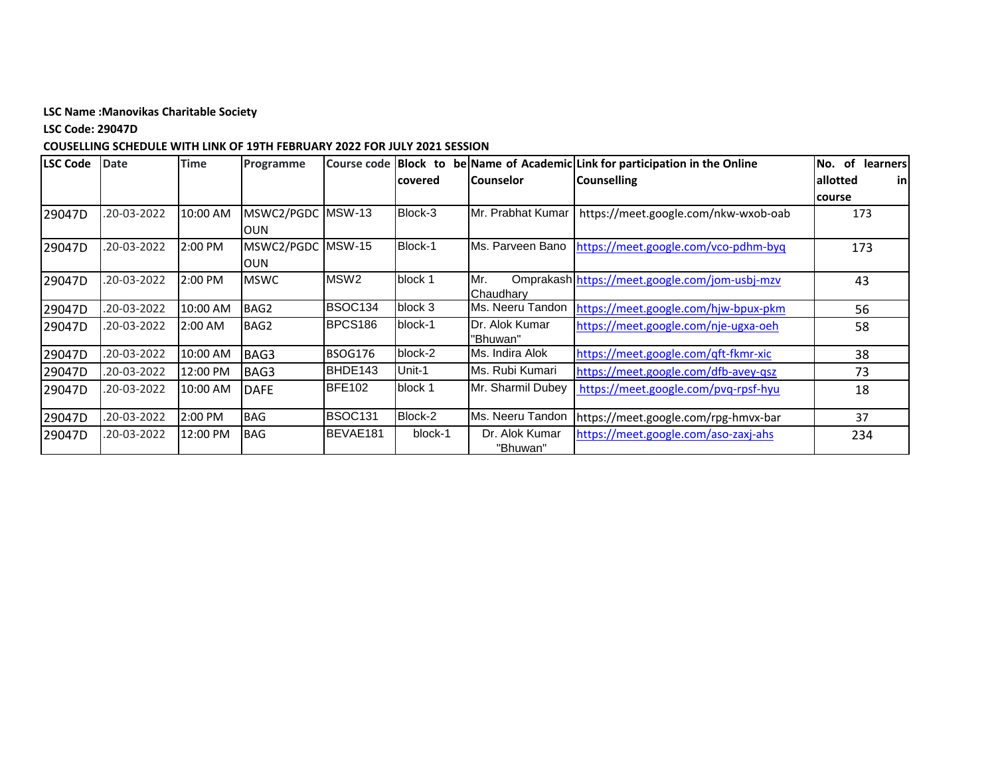**LSC Code: 29047D**

| <b>LSC Code</b> | <b>Date</b> | <b>Time</b> | Programme                |                  |         |                   | Course code Block to be Name of Academic Link for participation in the Online | of<br>learners<br>No. |
|-----------------|-------------|-------------|--------------------------|------------------|---------|-------------------|-------------------------------------------------------------------------------|-----------------------|
|                 |             |             |                          |                  | covered | l Counselor       | <b>Counselling</b>                                                            | allotted<br>inl       |
|                 |             |             |                          |                  |         |                   |                                                                               | course                |
| 29047D          | .20-03-2022 | 10:00 AM    | MSWC2/PGDC<br><b>OUN</b> | <b>MSW-13</b>    | Block-3 | Mr. Prabhat Kumar | https://meet.google.com/nkw-wxob-oab                                          | 173                   |
| 29047D          | 20-03-2022  | 2:00 PM     | MSWC2/PGDC MSW-15        |                  | Block-1 | Ms. Parveen Bano  | https://meet.google.com/vco-pdhm-byq                                          | 173                   |
|                 |             |             | <b>OUN</b>               |                  |         |                   |                                                                               |                       |
| 29047D          | 20-03-2022  | 2:00 PM     | <b>MSWC</b>              | MSW <sub>2</sub> | block 1 | Mr.               | Omprakash https://meet.google.com/jom-usbj-mzv                                | 43                    |
|                 |             |             |                          |                  |         | Chaudhary         |                                                                               |                       |
| 29047D          | .20-03-2022 | 10:00 AM    | BAG2                     | <b>BSOC134</b>   | block 3 | Ms. Neeru Tandon  | https://meet.google.com/hjw-bpux-pkm                                          | 56                    |
| 29047D          | .20-03-2022 | 2:00 AM     | BAG2                     | BPCS186          | block-1 | Dr. Alok Kumar    | https://meet.google.com/nje-ugxa-oeh                                          | 58                    |
|                 |             |             |                          |                  |         | 'Bhuwan"          |                                                                               |                       |
| 29047D          | .20-03-2022 | 10:00 AM    | BAG3                     | <b>BSOG176</b>   | block-2 | Ms. Indira Alok   | https://meet.google.com/qft-fkmr-xic                                          | 38                    |
| 29047D          | .20-03-2022 | 12:00 PM    | BAG3                     | BHDE143          | Unit-1  | Ms. Rubi Kumari   | https://meet.google.com/dfb-avey-qsz                                          | 73                    |
| 29047D          | .20-03-2022 | 10:00 AM    | <b>DAFE</b>              | <b>BFE102</b>    | block 1 | Mr. Sharmil Dubey | https://meet.google.com/pvq-rpsf-hyu                                          | 18                    |
|                 |             |             |                          |                  |         |                   |                                                                               |                       |
| 29047D          | .20-03-2022 | 2:00 PM     | <b>BAG</b>               | <b>BSOC131</b>   | Block-2 | Ms. Neeru Tandon  | https://meet.google.com/rpg-hmvx-bar                                          | 37                    |
| 29047D          | .20-03-2022 | 12:00 PM    | <b>BAG</b>               | BEVAE181         | block-1 | Dr. Alok Kumar    | https://meet.google.com/aso-zaxj-ahs                                          | 234                   |
|                 |             |             |                          |                  |         | "Bhuwan"          |                                                                               |                       |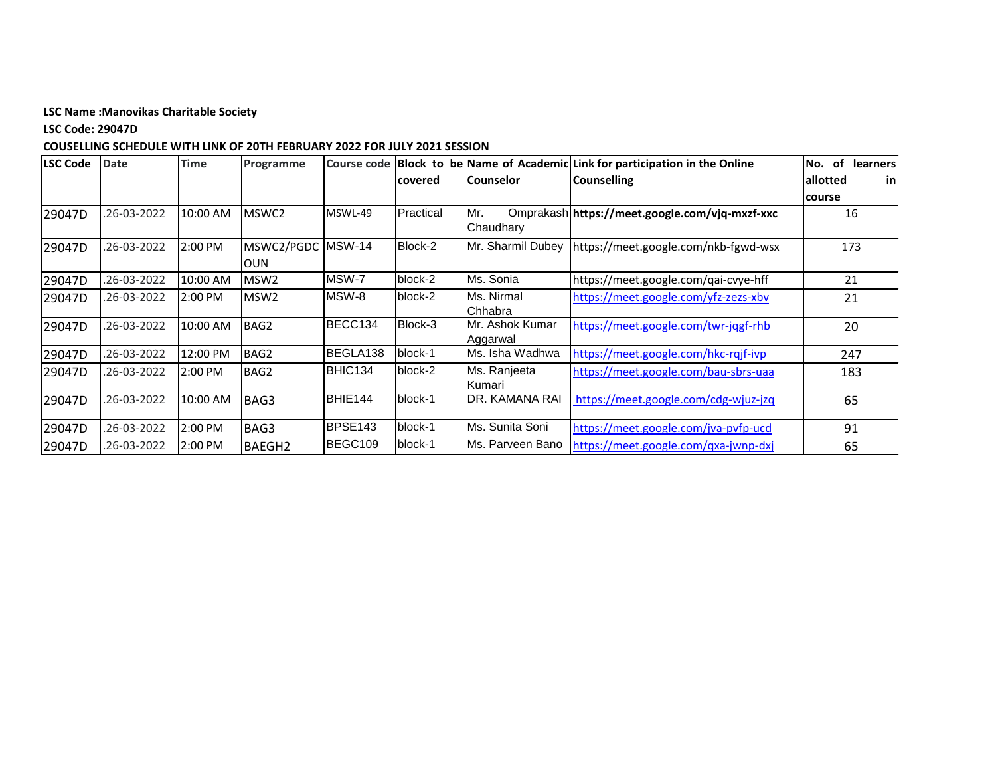**LSC Code: 29047D**

| <b>LSC Code</b> | <b>Date</b> | <b>Time</b> | Programme         |               |           |                   | Course code Block to be Name of Academic Link for participation in the Online | <b>of</b><br><b>learners</b><br>No. |
|-----------------|-------------|-------------|-------------------|---------------|-----------|-------------------|-------------------------------------------------------------------------------|-------------------------------------|
|                 |             |             |                   |               | covered   | <b>Counselor</b>  | <b>Counselling</b>                                                            | allotted<br>-inl                    |
|                 |             |             |                   |               |           |                   |                                                                               | course                              |
| 29047D          | 26-03-2022  | 10:00 AM    | MSWC <sub>2</sub> | MSWL-49       | Practical | Mr.<br>Chaudhary  | Omprakash https://meet.google.com/vjq-mxzf-xxc                                | 16                                  |
| 29047D          | 26-03-2022  | 2:00 PM     | MSWC2/PGDC        | <b>MSW-14</b> | Block-2   | Mr. Sharmil Dubey | https://meet.google.com/nkb-fgwd-wsx                                          | 173                                 |
|                 |             |             | <b>OUN</b>        |               |           |                   |                                                                               |                                     |
| 29047D          | 26-03-2022  | 10:00 AM    | MSW <sub>2</sub>  | MSW-7         | block-2   | Ms. Sonia         | https://meet.google.com/qai-cvye-hff                                          | 21                                  |
| 29047D          | .26-03-2022 | 2:00 PM     | MSW <sub>2</sub>  | MSW-8         | block-2   | Ms. Nirmal        | https://meet.google.com/yfz-zezs-xbv                                          | 21                                  |
|                 |             |             |                   |               |           | Chhabra           |                                                                               |                                     |
| 29047D          | .26-03-2022 | 10:00 AM    | BAG2              | BECC134       | Block-3   | IMr. Ashok Kumar  | https://meet.google.com/twr-jqgf-rhb                                          | 20                                  |
|                 |             |             |                   |               |           | Aggarwal          |                                                                               |                                     |
| 29047D          | .26-03-2022 | 12:00 PM    | BAG2              | BEGLA138      | block-1   | Ms. Isha Wadhwa   | https://meet.google.com/hkc-rqjf-ivp                                          | 247                                 |
| 29047D          | 26-03-2022  | 2:00 PM     | BAG2              | BHIC134       | block-2   | Ms. Ranjeeta      | https://meet.google.com/bau-sbrs-uaa                                          | 183                                 |
|                 |             |             |                   |               |           | Kumari            |                                                                               |                                     |
| 29047D          | .26-03-2022 | 10:00 AM    | BAG3              | BHIE144       | block-1   | IDR. KAMANA RAI   | https://meet.google.com/cdg-wjuz-jzq                                          | 65                                  |
|                 |             |             |                   |               |           |                   |                                                                               |                                     |
| 29047D          | .26-03-2022 | 2:00 PM     | BAG3              | BPSE143       | block-1   | Ms. Sunita Soni   | https://meet.google.com/jva-pvfp-ucd                                          | 91                                  |
| 29047D          | 26-03-2022  | 2:00 PM     | <b>BAEGH2</b>     | BEGC109       | block-1   | Ms. Parveen Bano  | https://meet.google.com/qxa-jwnp-dxj                                          | 65                                  |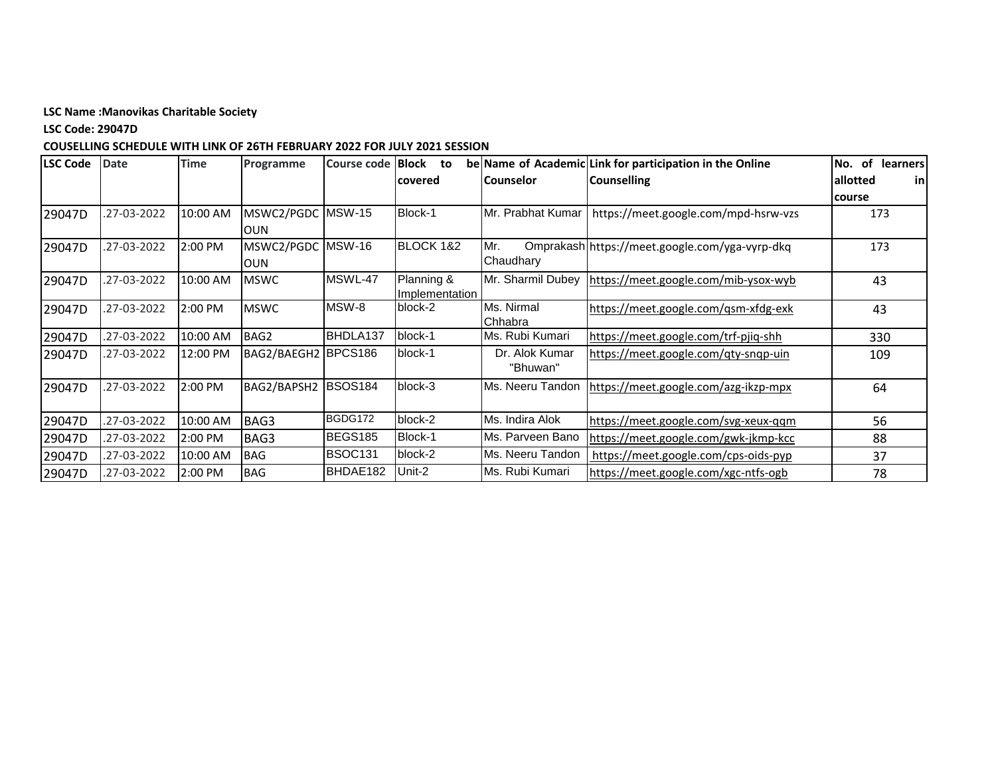**LSC Code: 29047D**

| LSC Code | <b>Date</b> | <b>Time</b> | Programme           | <b>Course code Block</b> | to<br>lcovered | lCounselor        | be Name of Academic Link for participation in the Online<br><b>Counselling</b> | of<br><b>learners</b><br>No.<br>allotted<br>inl |
|----------|-------------|-------------|---------------------|--------------------------|----------------|-------------------|--------------------------------------------------------------------------------|-------------------------------------------------|
|          |             |             |                     |                          |                |                   |                                                                                | course                                          |
| 29047D   | .27-03-2022 | 10:00 AM    | MSWC2/PGDC MSW-15   |                          | Block-1        | Mr. Prabhat Kumar | https://meet.google.com/mpd-hsrw-vzs                                           | 173                                             |
|          |             |             | IOUN                |                          |                |                   |                                                                                |                                                 |
| 29047D   | .27-03-2022 | 2:00 PM     | MSWC2/PGDC MSW-16   |                          | BLOCK 1&2      | Mr.               | Omprakash https://meet.google.com/yga-vyrp-dkq                                 | 173                                             |
|          |             |             | <b>OUN</b>          |                          |                | Chaudhary         |                                                                                |                                                 |
| 29047D   | .27-03-2022 | 10:00 AM    | <b>MSWC</b>         | MSWL-47                  | Planning &     | Mr. Sharmil Dubey | https://meet.google.com/mib-ysox-wyb                                           | 43                                              |
|          |             |             |                     |                          | Implementation |                   |                                                                                |                                                 |
| 29047D   | .27-03-2022 | 2:00 PM     | <b>MSWC</b>         | MSW-8                    | block-2        | Ms. Nirmal        | https://meet.google.com/qsm-xfdg-exk                                           | 43                                              |
|          |             |             |                     |                          |                | Chhabra           |                                                                                |                                                 |
| 29047D   | .27-03-2022 | 10:00 AM    | BAG2                | BHDLA137                 | block-1        | Ms. Rubi Kumari   | https://meet.google.com/trf-pjiq-shh                                           | 330                                             |
| 29047D   | .27-03-2022 | 12:00 PM    | BAG2/BAEGH2 BPCS186 |                          | block-1        | Dr. Alok Kumar    | https://meet.google.com/qty-snqp-uin                                           | 109                                             |
|          |             |             |                     |                          |                | "Bhuwan"          |                                                                                |                                                 |
| 29047D   | .27-03-2022 | 2:00 PM     | BAG2/BAPSH2         | <b>BSOS184</b>           | block-3        | Ms. Neeru Tandon  | https://meet.google.com/azg-ikzp-mpx                                           | 64                                              |
|          |             |             |                     |                          |                |                   |                                                                                |                                                 |
| 29047D   | .27-03-2022 | 10:00 AM    | BAG3                | BGDG172                  | block-2        | Ms. Indira Alok   | https://meet.google.com/svg-xeux-qqm                                           | 56                                              |
| 29047D   | .27-03-2022 | 2:00 PM     | BAG3                | BEGS185                  | Block-1        | Ms. Parveen Bano  | https://meet.google.com/gwk-jkmp-kcc                                           | 88                                              |
| 29047D   | .27-03-2022 | 10:00 AM    | <b>BAG</b>          | <b>BSOC131</b>           | block-2        | Ms. Neeru Tandon  | https://meet.google.com/cps-oids-pyp                                           | 37                                              |
| 29047D   | 27-03-2022  | 2:00 PM     | <b>BAG</b>          | BHDAE182                 | Unit-2         | Ms. Rubi Kumari   | https://meet.google.com/xgc-ntfs-ogb                                           | 78                                              |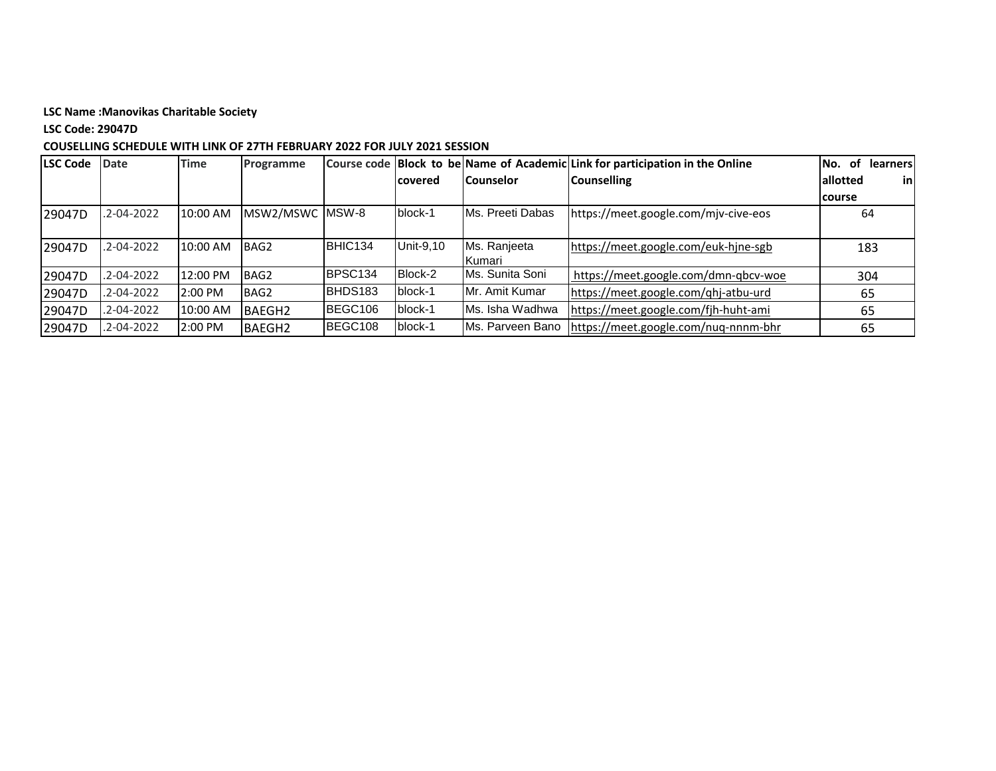## **LSC Code: 29047D**

| <b>LSC Code</b> | Date             | <b>Time</b> | Programme        |         |                 |                               | Course code Block to be Name of Academic Link for participation in the Online | 0f<br>No.<br>learnersl |
|-----------------|------------------|-------------|------------------|---------|-----------------|-------------------------------|-------------------------------------------------------------------------------|------------------------|
|                 |                  |             |                  |         | <b>lcovered</b> | l Counselor                   | <b>Counselling</b>                                                            | in <br>allotted        |
|                 |                  |             |                  |         |                 |                               |                                                                               | course                 |
| 29047D          | .2-04-2022       | 10:00 AM    | MSW2/MSWC        | MSW-8   | block-1         | IMs. Preeti Dabas             | https://meet.google.com/mjv-cive-eos                                          | 64                     |
| 29047D          | .2-04-2022       | 10:00 AM    | BAG <sub>2</sub> | BHIC134 | Unit-9,10       | Ms. Ranjeeta<br><b>Kumari</b> | https://meet.google.com/euk-hjne-sgb                                          | 183                    |
| 29047D          | .2-04-2022       | 12:00 PM    | BAG <sub>2</sub> | BPSC134 | Block-2         | Ms. Sunita Soni               | https://meet.google.com/dmn-qbcv-woe                                          | 304                    |
| 29047D          | $.2 - 04 - 2022$ | 2:00 PM     | BAG2             | BHDS183 | block-1         | IMr. Amit Kumar               | https://meet.google.com/qhj-atbu-urd                                          | 65                     |
| 29047D          | $.2 - 04 - 2022$ | 10:00 AM    | <b>BAEGH2</b>    | BEGC106 | block-1         | Ms. Isha Wadhwa               | https://meet.google.com/fjh-huht-ami                                          | 65                     |
| 29047D          | .2-04-2022       | 2:00 PM     | <b>BAEGH2</b>    | BEGC108 | block-1         | Ms. Parveen Bano              | https://meet.google.com/nuq-nnnm-bhr                                          | 65                     |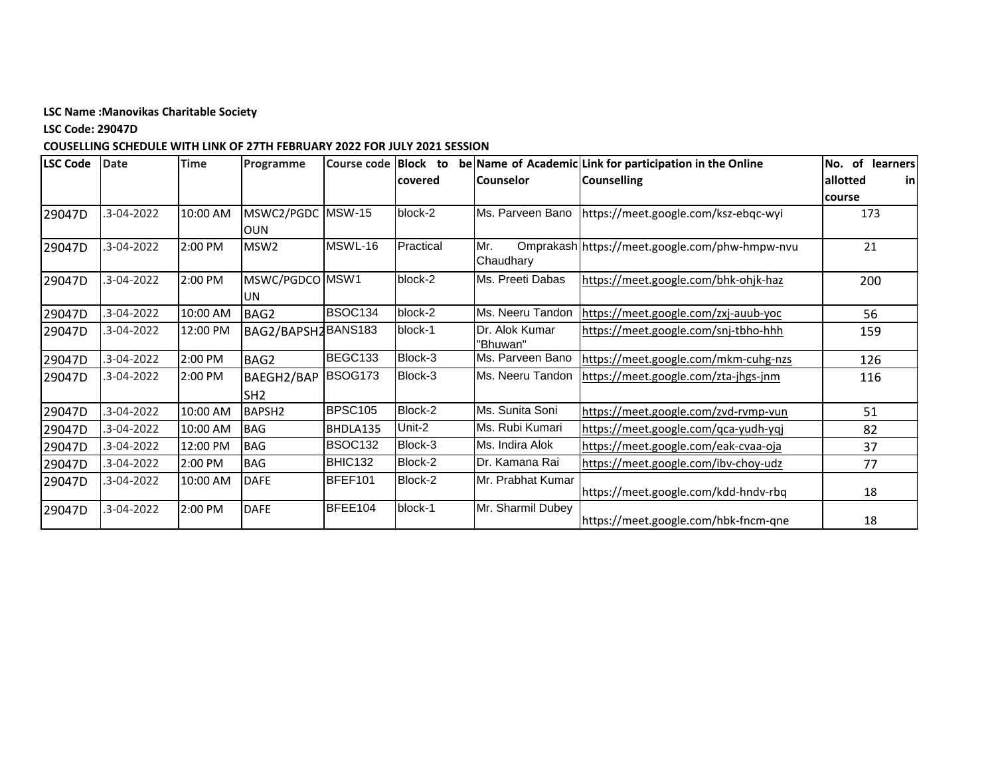**LSC Code: 29047D**

| LSC Code | <b>Date</b>      | <b>Time</b> | Programme          | <b>Course code</b> | <b>Block</b> to |                   | be Name of Academic Link for participation in the Online | of learners<br>No.     |
|----------|------------------|-------------|--------------------|--------------------|-----------------|-------------------|----------------------------------------------------------|------------------------|
|          |                  |             |                    |                    | covered         | <b>Counselor</b>  | <b>Counselling</b>                                       | allotted<br><b>inl</b> |
|          |                  |             |                    |                    |                 |                   |                                                          | course                 |
| 29047D   | $.3 - 04 - 2022$ | 10:00 AM    | MSWC2/PGDC MSW-15  |                    | block-2         |                   | Ms. Parveen Bano   https://meet.google.com/ksz-ebqc-wyi  | 173                    |
|          |                  |             | <b>OUN</b>         |                    |                 |                   |                                                          |                        |
| 29047D   | $.3 - 04 - 2022$ | 2:00 PM     | MSW <sub>2</sub>   | MSWL-16            | Practical       | Mr.<br>Chaudhary  | Omprakash https://meet.google.com/phw-hmpw-nvu           | 21                     |
| 29047D   | $.3 - 04 - 2022$ | 2:00 PM     | MSWC/PGDCO MSW1    |                    | block-2         | Ms. Preeti Dabas  | https://meet.google.com/bhk-ohjk-haz                     | 200                    |
|          |                  |             | <b>UN</b>          |                    |                 |                   |                                                          |                        |
| 29047D   | $.3 - 04 - 2022$ | 10:00 AM    | BAG2               | BSOC134            | block-2         | Ms. Neeru Tandon  | https://meet.google.com/zxj-auub-yoc                     | 56                     |
| 29047D   | $.3 - 04 - 2022$ | 12:00 PM    | BAG2/BAPSH2BANS183 |                    | block-1         | Dr. Alok Kumar    | https://meet.google.com/snj-tbho-hhh                     | 159                    |
|          |                  |             |                    |                    |                 | 'Bhuwan"          |                                                          |                        |
| 29047D   | $.3 - 04 - 2022$ | 2:00 PM     | BAG2               | BEGC133            | Block-3         | Ms. Parveen Bano  | https://meet.google.com/mkm-cuhg-nzs                     | 126                    |
| 29047D   | $.3 - 04 - 2022$ | 2:00 PM     | BAEGH2/BAP         | <b>BSOG173</b>     | Block-3         | Ms. Neeru Tandon  | https://meet.google.com/zta-jhgs-jnm                     | 116                    |
|          |                  |             | SH <sub>2</sub>    |                    |                 |                   |                                                          |                        |
| 29047D   | $.3 - 04 - 2022$ | 10:00 AM    | BAPSH <sub>2</sub> | <b>BPSC105</b>     | Block-2         | Ms. Sunita Soni   | https://meet.google.com/zvd-rvmp-vun                     | 51                     |
| 29047D   | $.3 - 04 - 2022$ | 10:00 AM    | <b>BAG</b>         | BHDLA135           | Unit-2          | Ms. Rubi Kumari   | https://meet.google.com/qca-yudh-yqj                     | 82                     |
| 29047D   | $.3 - 04 - 2022$ | 12:00 PM    | BAG                | <b>BSOC132</b>     | Block-3         | Ms. Indira Alok   | https://meet.google.com/eak-cvaa-oja                     | 37                     |
| 29047D   | $.3 - 04 - 2022$ | 2:00 PM     | <b>BAG</b>         | BHIC132            | Block-2         | Dr. Kamana Rai    | https://meet.google.com/ibv-choy-udz                     | 77                     |
| 29047D   | 3-04-2022        | 10:00 AM    | <b>DAFE</b>        | <b>BFEF101</b>     | Block-2         | Mr. Prabhat Kumar | https://meet.google.com/kdd-hndv-rbq                     | 18                     |
| 29047D   | $.3 - 04 - 2022$ | 2:00 PM     | <b>DAFE</b>        | BFEE104            | block-1         | Mr. Sharmil Dubey | https://meet.google.com/hbk-fncm-qne                     | 18                     |
|          |                  |             |                    |                    |                 |                   |                                                          |                        |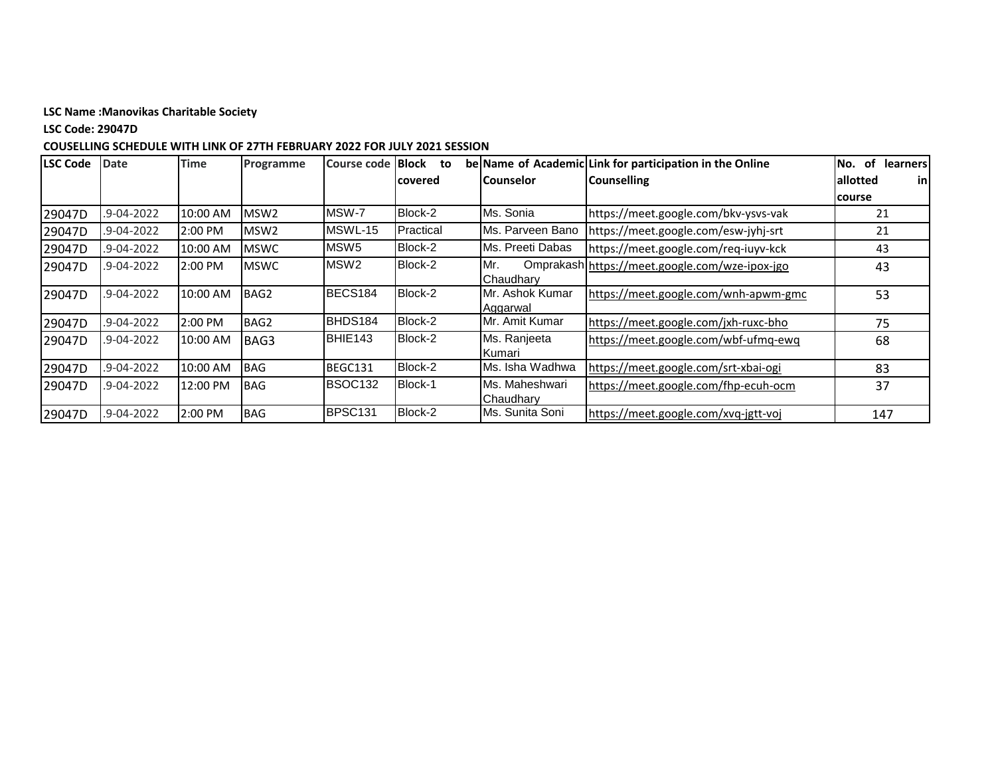**LSC Code: 29047D**

| <b>LSC Code</b> | <b>Date</b>      | <b>Time</b> | Programme        | Course code   Block | to        |                                    | be Name of Academic Link for participation in the Online | <b>of</b><br><b>learners</b><br>No. |
|-----------------|------------------|-------------|------------------|---------------------|-----------|------------------------------------|----------------------------------------------------------|-------------------------------------|
|                 |                  |             |                  |                     | covered   | <b>Counselor</b>                   | <b>Counselling</b>                                       | inl<br>allotted                     |
|                 |                  |             |                  |                     |           |                                    |                                                          | course                              |
| 29047D          | .9-04-2022       | 10:00 AM    | MSW <sub>2</sub> | MSW-7               | Block-2   | Ms. Sonia                          | https://meet.google.com/bkv-ysvs-vak                     | 21                                  |
| 29047D          | $.9 - 04 - 2022$ | $2:00$ PM   | MSW <sub>2</sub> | MSWL-15             | Practical | Ms. Parveen Bano                   | https://meet.google.com/esw-jyhj-srt                     | 21                                  |
| 29047D          | .9-04-2022       | 10:00 AM    | <b>MSWC</b>      | MSW5                | Block-2   | Ms. Preeti Dabas                   | https://meet.google.com/req-iuyv-kck                     | 43                                  |
| 29047D          | .9-04-2022       | 2:00 PM     | <b>MSWC</b>      | MSW <sub>2</sub>    | Block-2   | IMr.<br>Chaudhary                  | Omprakash https://meet.google.com/wze-ipox-jgo           | 43                                  |
| 29047D          | .9-04-2022       | 10:00 AM    | BAG2             | BECS184             | Block-2   | Mr. Ashok Kumar<br>Aggarwal        | https://meet.google.com/wnh-apwm-gmc                     | 53                                  |
| 29047D          | .9-04-2022       | 2:00 PM     | BAG2             | BHDS184             | Block-2   | Mr. Amit Kumar                     | https://meet.google.com/jxh-ruxc-bho                     | 75                                  |
| 29047D          | .9-04-2022       | 10:00 AM    | BAG3             | BHIE143             | Block-2   | Ms. Ranjeeta<br><b>I</b> Kumari    | https://meet.google.com/wbf-ufmq-ewq                     | 68                                  |
| 29047D          | $.9 - 04 - 2022$ | 10:00 AM    | <b>BAG</b>       | BEGC131             | Block-2   | Ms. Isha Wadhwa                    | https://meet.google.com/srt-xbai-ogi                     | 83                                  |
| 29047D          | .9-04-2022       | 12:00 PM    | <b>BAG</b>       | <b>BSOC132</b>      | Block-1   | Ms. Maheshwari<br><b>Chaudhary</b> | https://meet.google.com/fhp-ecuh-ocm                     | 37                                  |
| 29047D          | .9-04-2022       | 2:00 PM     | <b>BAG</b>       | BPSC131             | Block-2   | Ms. Sunita Soni                    | https://meet.google.com/xvq-jgtt-voj                     | 147                                 |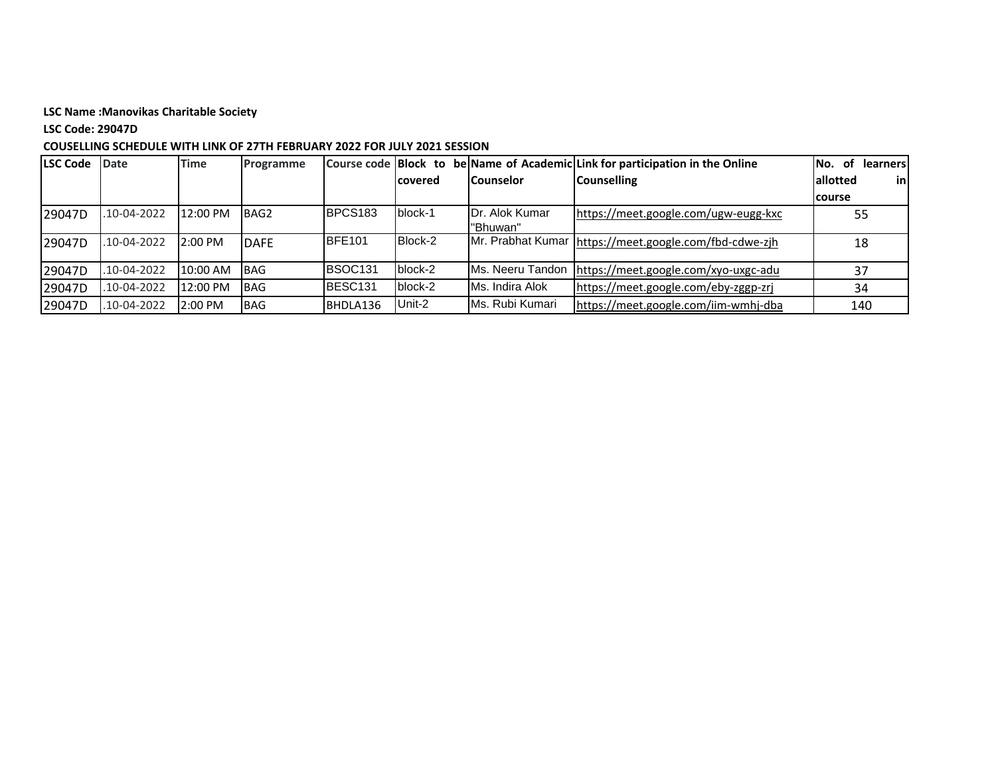## **LSC Code: 29047D**

| <b>LSC Code</b> | <b>Date</b> | <b>Time</b> | <b>Programme</b> |                     |                 |                        | Course code Block to be Name of Academic Link for participation in the Online | of<br>learners<br>INo. |
|-----------------|-------------|-------------|------------------|---------------------|-----------------|------------------------|-------------------------------------------------------------------------------|------------------------|
|                 |             |             |                  |                     | <b>lcovered</b> | <b>Counselor</b>       | <b>Counselling</b>                                                            | allotted<br>inl        |
|                 |             |             |                  |                     |                 |                        |                                                                               | <b>course</b>          |
| 29047D          | .10-04-2022 | 12:00 PM    | BAG2             | BPCS <sub>183</sub> | block-1         | <b>IDr. Alok Kumar</b> | https://meet.google.com/ugw-eugg-kxc                                          | 55                     |
|                 |             |             |                  |                     |                 | "Bhuwan"               |                                                                               |                        |
| 29047D          | .10-04-2022 | 2:00 PM     | <b>DAFE</b>      | <b>IBFE101</b>      | Block-2         |                        | Mr. Prabhat Kumar   https://meet.google.com/fbd-cdwe-zih                      | 18                     |
| 29047D          | .10-04-2022 | 10:00 AM    | <b>IBAG</b>      | <b>IBSOC131</b>     | block-2         | Ms. Neeru Tandon       | https://meet.google.com/xyo-uxgc-adu                                          | 37                     |
| 29047D          | .10-04-2022 | 12:00 PM    | <b>IBAG</b>      | BESC <sub>131</sub> | block-2         | Ms. Indira Alok        | https://meet.google.com/eby-zggp-zrj                                          | 34                     |
| 29047D          | .10-04-2022 | 2:00 PM     | <b>BAG</b>       | BHDLA136            | Unit-2          | IMs. Rubi Kumari       | https://meet.google.com/iim-wmhj-dba                                          | 140                    |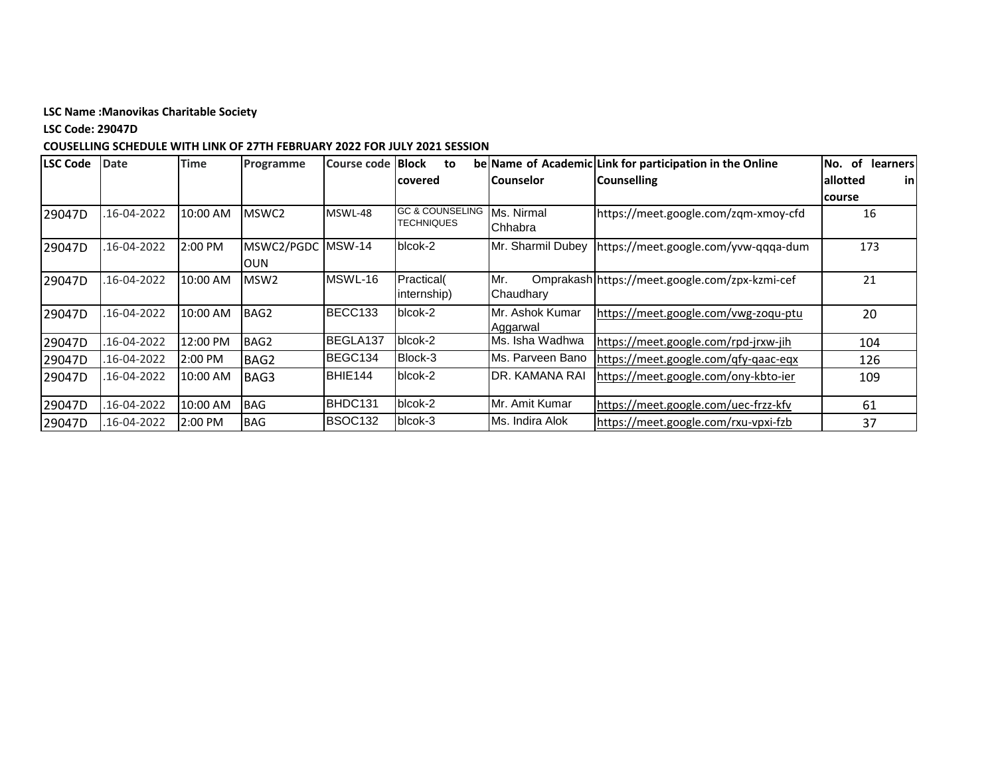**LSC Code: 29047D**

| <b>LSC Code</b> | <b>Date</b> | <b>Time</b> | Programme         | Course code   Block | to                                       |                       | be Name of Academic Link for participation in the Online | of<br><b>learners</b><br>No. |
|-----------------|-------------|-------------|-------------------|---------------------|------------------------------------------|-----------------------|----------------------------------------------------------|------------------------------|
|                 |             |             |                   |                     | covered                                  | <b>Counselor</b>      | <b>Counselling</b>                                       | allotted<br>in               |
|                 |             |             |                   |                     |                                          |                       |                                                          | course                       |
| 29047D          | 16-04-2022  | 10:00 AM    | MSWC2             | MSWL-48             | <b>GC &amp; COUNSELING</b><br>TECHNIQUES | Ms. Nirmal<br>Chhabra | https://meet.google.com/zqm-xmoy-cfd                     | 16                           |
| 29047D          | 16-04-2022  | 2:00 PM     | MSWC2/PGDC MSW-14 |                     | blcok-2                                  | Mr. Sharmil Dubey     | https://meet.google.com/yvw-qqqa-dum                     | 173                          |
|                 |             |             | <b>OUN</b>        |                     |                                          |                       |                                                          |                              |
| 29047D          | 16-04-2022. | 10:00 AM    | MSW <sub>2</sub>  | MSWL-16             | Practical(                               | Mr.                   | Omprakash https://meet.google.com/zpx-kzmi-cef           | 21                           |
|                 |             |             |                   |                     | internship)                              | Chaudhary             |                                                          |                              |
| 29047D          | 16-04-2022  | 10:00 AM    | BAG2              | BECC133             | blcok-2                                  | Mr. Ashok Kumar       | https://meet.google.com/vwg-zoqu-ptu                     | 20                           |
|                 |             |             |                   |                     |                                          | Aggarwal              |                                                          |                              |
| 29047D          | 16-04-2022  | 12:00 PM    | BAG2              | BEGLA137            | blcok-2                                  | Ms. Isha Wadhwa       | https://meet.google.com/rpd-jrxw-jih                     | 104                          |
| 29047D          | 16-04-2022. | 2:00 PM     | BAG2              | BEGC134             | Block-3                                  | Ms. Parveen Bano      | https://meet.google.com/qfy-qaac-eqx                     | 126                          |
| 29047D          | 16-04-2022. | 10:00 AM    | BAG3              | BHIE144             | blcok-2                                  | DR. KAMANA RAI        | https://meet.google.com/ony-kbto-ier                     | 109                          |
|                 |             |             |                   |                     |                                          |                       |                                                          |                              |
| 29047D          | 16-04-2022. | 10:00 AM    | <b>BAG</b>        | BHDC131             | blcok-2                                  | IMr. Amit Kumar       | https://meet.google.com/uec-frzz-kfv                     | 61                           |
| 29047D          | 16-04-2022. | 2:00 PM     | <b>BAG</b>        | BSOC132             | blcok-3                                  | IMs. Indira Alok      | https://meet.google.com/rxu-vpxi-fzb                     | 37                           |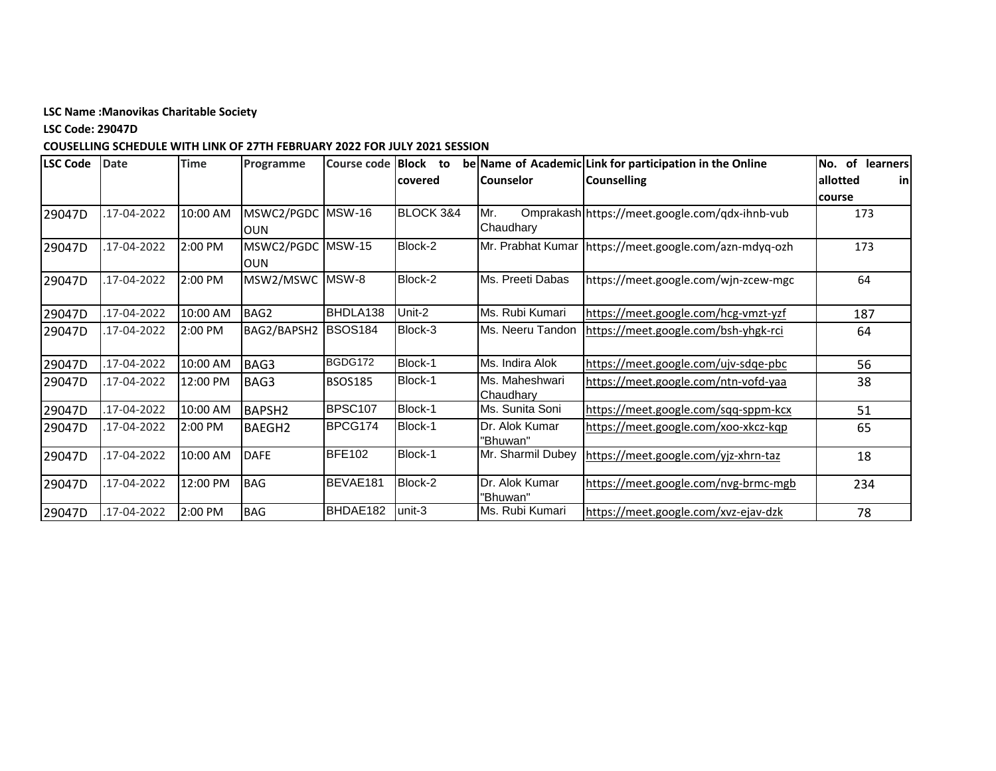**LSC Code: 29047D**

| <b>LSC Code</b> | <b>Date</b> | <b>Time</b> | Programme     | <b>Course code</b> | <b>Block</b><br>to |                   | be Name of Academic Link for participation in the Online | of learners<br>No. |
|-----------------|-------------|-------------|---------------|--------------------|--------------------|-------------------|----------------------------------------------------------|--------------------|
|                 |             |             |               |                    | lcovered           | <b>Counselor</b>  | <b>Counselling</b>                                       | allotted<br>inl    |
|                 |             |             |               |                    |                    |                   |                                                          | course             |
| 29047D          | 17-04-2022  | 10:00 AM    | MSWC2/PGDC    | <b>MSW-16</b>      | BLOCK 3&4          | Mr.               | Omprakash https://meet.google.com/qdx-ihnb-vub           | 173                |
|                 |             |             | <b>OUN</b>    |                    |                    | Chaudhary         |                                                          |                    |
| 29047D          | 17-04-2022  | 2:00 PM     | MSWC2/PGDC    | <b>MSW-15</b>      | Block-2            |                   | Mr. Prabhat Kumar   https://meet.google.com/azn-mdyq-ozh | 173                |
|                 |             |             | <b>OUN</b>    |                    |                    |                   |                                                          |                    |
| 29047D          | 17-04-2022  | 2:00 PM     | MSW2/MSWC     | MSW-8              | Block-2            | Ms. Preeti Dabas  | https://meet.google.com/wjn-zcew-mgc                     | 64                 |
|                 |             |             |               |                    |                    |                   |                                                          |                    |
| 29047D          | 17-04-2022  | 10:00 AM    | BAG2          | BHDLA138           | Unit-2             | Ms. Rubi Kumari   | https://meet.google.com/hcg-vmzt-yzf                     | 187                |
| 29047D          | 17-04-2022  | 2:00 PM     | BAG2/BAPSH2   | <b>BSOS184</b>     | Block-3            | Ms. Neeru Tandon  | https://meet.google.com/bsh-yhgk-rci                     | 64                 |
|                 |             |             |               |                    |                    |                   |                                                          |                    |
| 29047D          | .17-04-2022 | 10:00 AM    | BAG3          | BGDG172            | Block-1            | Ms. Indira Alok   | https://meet.google.com/ujv-sdge-pbc                     | 56                 |
| 29047D          | 17-04-2022  | 12:00 PM    | BAG3          | <b>BSOS185</b>     | Block-1            | Ms. Maheshwari    | https://meet.google.com/ntn-vofd-yaa                     | 38                 |
|                 |             |             |               |                    |                    | Chaudhary         |                                                          |                    |
| 29047D          | 17-04-2022  | 10:00 AM    | <b>BAPSH2</b> | BPSC107            | Block-1            | Ms. Sunita Soni   | https://meet.google.com/sqq-sppm-kcx                     | 51                 |
| 29047D          | 17-04-2022  | 2:00 PM     | <b>BAEGH2</b> | BPCG174            | Block-1            | Dr. Alok Kumar    | https://meet.google.com/xoo-xkcz-kqp                     | 65                 |
|                 |             |             |               |                    |                    | "Bhuwan"          |                                                          |                    |
| 29047D          | 17-04-2022  | 10:00 AM    | <b>DAFE</b>   | <b>BFE102</b>      | Block-1            | Mr. Sharmil Dubey | https://meet.google.com/yjz-xhrn-taz                     | 18                 |
|                 |             |             |               |                    |                    |                   |                                                          |                    |
| 29047D          | 17-04-2022  | 12:00 PM    | <b>BAG</b>    | BEVAE181           | Block-2            | Dr. Alok Kumar    | https://meet.google.com/nvg-brmc-mgb                     | 234                |
|                 |             |             |               |                    |                    | 'Bhuwan"          |                                                          |                    |
| 29047D          | .17-04-2022 | 2:00 PM     | <b>BAG</b>    | BHDAE182           | unit-3             | Ms. Rubi Kumari   | https://meet.google.com/xvz-ejav-dzk                     | 78                 |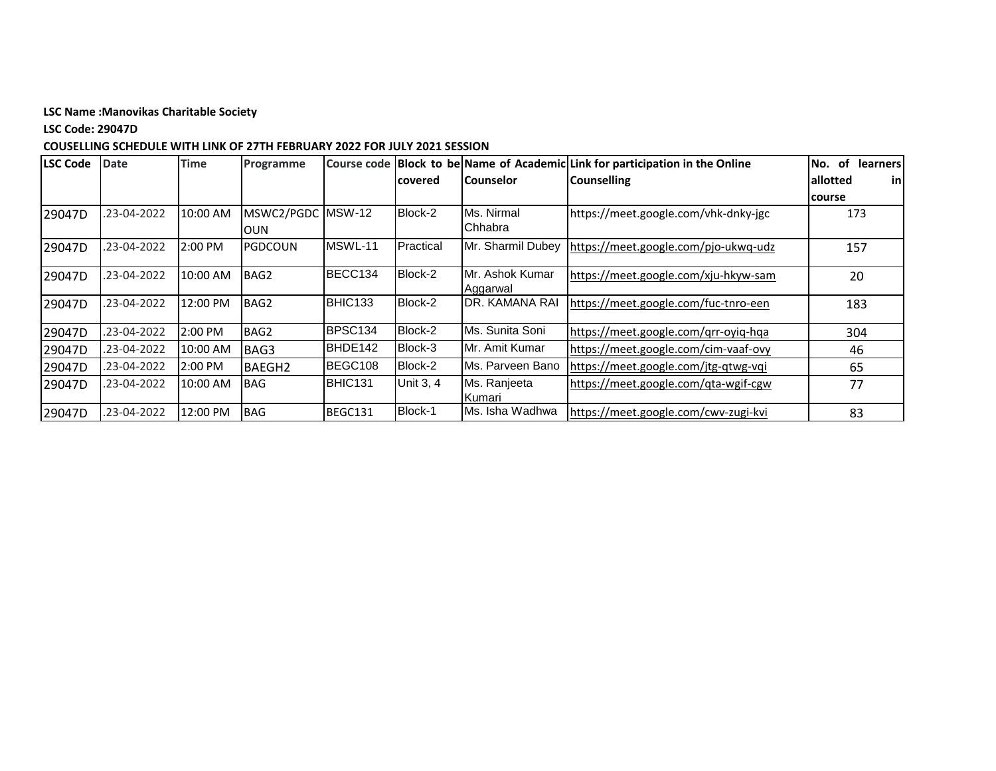**LSC Code: 29047D**

| <b>LSC Code</b> | <b>Date</b> | <b>Time</b> | Programme      |               |                  |                              | Course code Block to be Name of Academic Link for participation in the Online | of<br>No.<br><b>learners</b> |
|-----------------|-------------|-------------|----------------|---------------|------------------|------------------------------|-------------------------------------------------------------------------------|------------------------------|
|                 |             |             |                |               | covered          | <b>Counselor</b>             | <b>Counselling</b>                                                            | allotted<br>inl              |
|                 |             |             |                |               |                  |                              |                                                                               | course                       |
| 29047D          | .23-04-2022 | 10:00 AM    | MSWC2/PGDC     | <b>MSW-12</b> | Block-2          | Ms. Nirmal                   | https://meet.google.com/vhk-dnky-jgc                                          | 173                          |
|                 |             |             | <b>OUN</b>     |               |                  | Chhabra                      |                                                                               |                              |
| 29047D          | .23-04-2022 | 2:00 PM     | <b>PGDCOUN</b> | MSWL-11       | Practical        | Mr. Sharmil Dubey            | https://meet.google.com/pjo-ukwq-udz                                          | 157                          |
| 29047D          | .23-04-2022 | 10:00 AM    | BAG2           | BECC134       | Block-2          | IMr. Ashok Kumar<br>Aggarwal | https://meet.google.com/xju-hkyw-sam                                          | 20                           |
| 29047D          | .23-04-2022 | 12:00 PM    | BAG2           | BHIC133       | Block-2          | <b>DR. KAMANA RAI</b>        | https://meet.google.com/fuc-tnro-een                                          | 183                          |
| 29047D          | .23-04-2022 | 2:00 PM     | BAG2           | BPSC134       | Block-2          | Ms. Sunita Soni              | https://meet.google.com/grr-oyig-hga                                          | 304                          |
| 29047D          | .23-04-2022 | 10:00 AM    | BAG3           | BHDE142       | Block-3          | Mr. Amit Kumar               | https://meet.google.com/cim-vaaf-ovy                                          | 46                           |
| 29047D          | .23-04-2022 | 2:00 PM     | <b>BAEGH2</b>  | BEGC108       | Block-2          | Ms. Parveen Bano             | https://meet.google.com/jtg-qtwg-vqi                                          | 65                           |
| 29047D          | .23-04-2022 | 10:00 AM    | <b>BAG</b>     | BHIC131       | <b>Unit 3, 4</b> | Ms. Ranjeeta<br>Kumari       | https://meet.google.com/qta-wgif-cgw                                          | 77                           |
| 29047D          | .23-04-2022 | 12:00 PM    | <b>BAG</b>     | BEGC131       | Block-1          | Ms. Isha Wadhwa              | https://meet.google.com/cwv-zugi-kvi                                          | 83                           |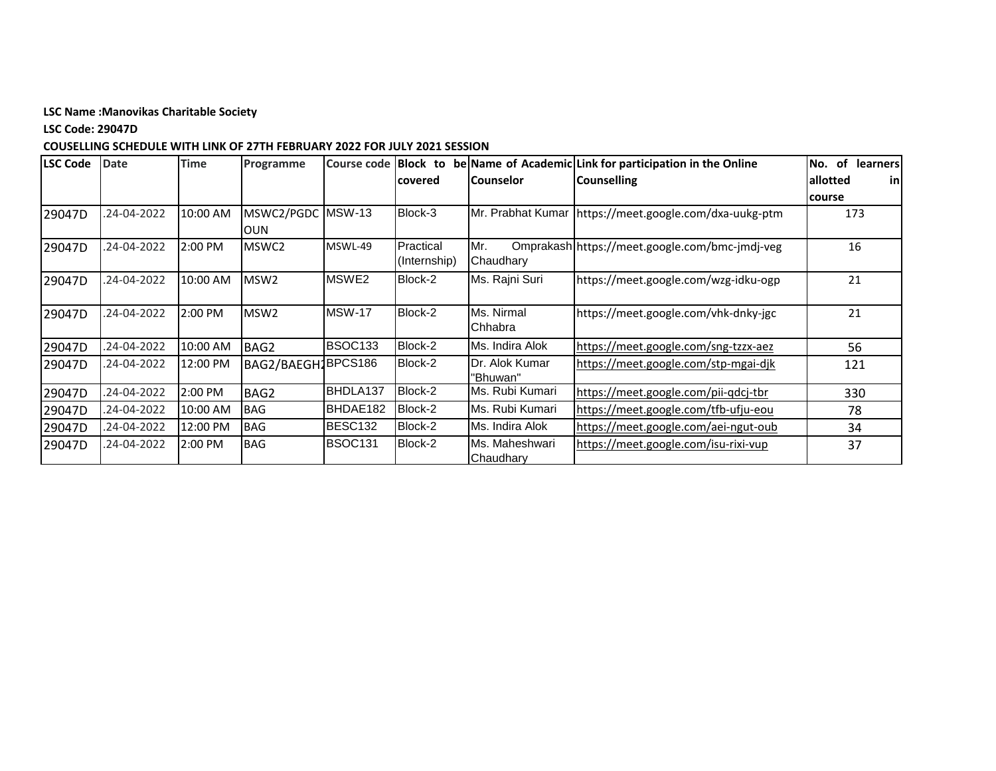**LSC Code: 29047D**

| <b>LSC Code</b> | <b>Date</b> | <b>Time</b> | Programme                | Course code    | <b>Block</b> to           |                             | be Name of Academic Link for participation in the Online | of<br>learners<br>No. |
|-----------------|-------------|-------------|--------------------------|----------------|---------------------------|-----------------------------|----------------------------------------------------------|-----------------------|
|                 |             |             |                          |                | lcovered                  | l Counselor                 | <b>Counselling</b>                                       | allotted<br>-inl      |
|                 |             |             |                          |                |                           |                             |                                                          | course                |
| 29047D          | .24-04-2022 | 10:00 AM    | MSWC2/PGDC<br><b>OUN</b> | <b>MSW-13</b>  | Block-3                   |                             | Mr. Prabhat Kumar   https://meet.google.com/dxa-uukg-ptm | 173                   |
| 29047D          | .24-04-2022 | 2:00 PM     | MSWC2                    | MSWL-49        | Practical<br>(Internship) | Mr.<br>Chaudhary            | Omprakash https://meet.google.com/bmc-jmdj-veg           | 16                    |
| 29047D          | .24-04-2022 | 10:00 AM    | MSW <sub>2</sub>         | MSWE2          | Block-2                   | Ms. Rajni Suri              | https://meet.google.com/wzg-idku-ogp                     | 21                    |
| 29047D          | .24-04-2022 | 2:00 PM     | MSW <sub>2</sub>         | <b>MSW-17</b>  | Block-2                   | Ms. Nirmal<br>Chhabra       | https://meet.google.com/vhk-dnky-jgc                     | 21                    |
| 29047D          | .24-04-2022 | 10:00 AM    | BAG2                     | <b>BSOC133</b> | Block-2                   | Ms. Indira Alok             | https://meet.google.com/sng-tzzx-aez                     | 56                    |
| 29047D          | .24-04-2022 | 12:00 PM    | BAG2/BAEGH1BPCS186       |                | Block-2                   | Dr. Alok Kumar<br>"Bhuwan"  | https://meet.google.com/stp-mgai-djk                     | 121                   |
| 29047D          | .24-04-2022 | 2:00 PM     | BAG2                     | BHDLA137       | Block-2                   | Ms. Rubi Kumari             | https://meet.google.com/pii-qdcj-tbr                     | 330                   |
| 29047D          | .24-04-2022 | 10:00 AM    | <b>BAG</b>               | BHDAE182       | Block-2                   | Ms. Rubi Kumari             | https://meet.google.com/tfb-ufju-eou                     | 78                    |
| 29047D          | .24-04-2022 | 12:00 PM    | <b>BAG</b>               | BESC132        | Block-2                   | Ms. Indira Alok             | https://meet.google.com/aei-ngut-oub                     | 34                    |
| 29047D          | .24-04-2022 | 2:00 PM     | <b>BAG</b>               | <b>BSOC131</b> | Block-2                   | Ms. Maheshwari<br>Chaudhary | https://meet.google.com/isu-rixi-vup                     | 37                    |